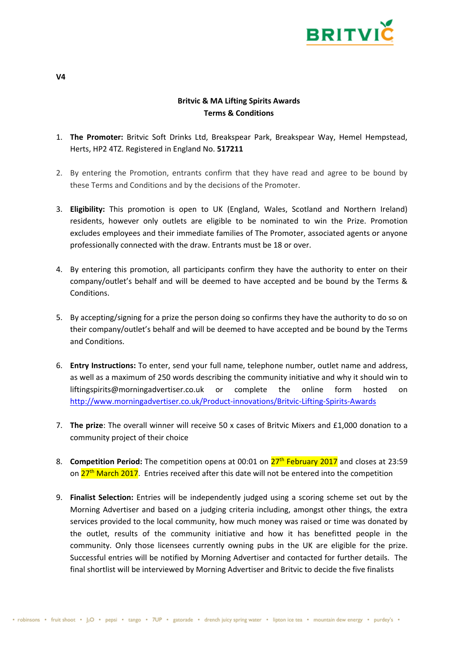

## **Britvic & MA Lifting Spirits Awards Terms & Conditions**

- 1. **The Promoter:** Britvic Soft Drinks Ltd, Breakspear Park, Breakspear Way, Hemel Hempstead, Herts, HP2 4TZ. Registered in England No. **517211**
- 2. By entering the Promotion, entrants confirm that they have read and agree to be bound by these Terms and Conditions and by the decisions of the Promoter.
- 3. **Eligibility:** This promotion is open to UK (England, Wales, Scotland and Northern Ireland) residents, however only outlets are eligible to be nominated to win the Prize. Promotion excludes employees and their immediate families of The Promoter, associated agents or anyone professionally connected with the draw. Entrants must be 18 or over.
- 4. By entering this promotion, all participants confirm they have the authority to enter on their company/outlet's behalf and will be deemed to have accepted and be bound by the Terms & Conditions.
- 5. By accepting/signing for a prize the person doing so confirms they have the authority to do so on their company/outlet's behalf and will be deemed to have accepted and be bound by the Terms and Conditions.
- 6. **Entry Instructions:** To enter, send your full name, telephone number, outlet name and address, as well as a maximum of 250 words describing the community initiative and why it should win to liftingspirits@morningadvertiser.co.uk or complete the online form hosted on <http://www.morningadvertiser.co.uk/Product-innovations/Britvic-Lifting-Spirits-Awards>
- 7. **The prize**: The overall winner will receive 50 x cases of Britvic Mixers and £1,000 donation to a community project of their choice
- 8. **Competition Period:** The competition opens at 00:01 on  $27<sup>th</sup>$  February 2017 and closes at 23:59 on  $27<sup>th</sup>$  March 2017. Entries received after this date will not be entered into the competition
- 9. **Finalist Selection:** Entries will be independently judged using a scoring scheme set out by the Morning Advertiser and based on a judging criteria including, amongst other things, the extra services provided to the local community, how much money was raised or time was donated by the outlet, results of the community initiative and how it has benefitted people in the community. Only those licensees currently owning pubs in the UK are eligible for the prize. Successful entries will be notified by Morning Advertiser and contacted for further details. The final shortlist will be interviewed by Morning Advertiser and Britvic to decide the five finalists

**V4**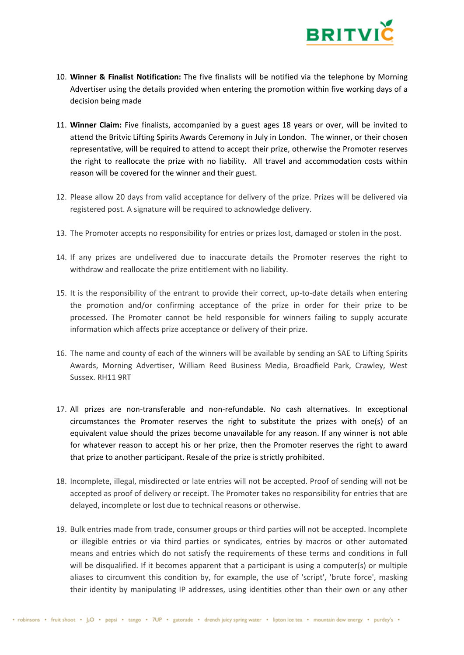

- 10. **Winner & Finalist Notification:** The five finalists will be notified via the telephone by Morning Advertiser using the details provided when entering the promotion within five working days of a decision being made
- 11. **Winner Claim:** Five finalists, accompanied by a guest ages 18 years or over, will be invited to attend the Britvic Lifting Spirits Awards Ceremony in July in London. The winner, or their chosen representative, will be required to attend to accept their prize, otherwise the Promoter reserves the right to reallocate the prize with no liability. All travel and accommodation costs within reason will be covered for the winner and their guest.
- 12. Please allow 20 days from valid acceptance for delivery of the prize. Prizes will be delivered via registered post. A signature will be required to acknowledge delivery.
- 13. The Promoter accepts no responsibility for entries or prizes lost, damaged or stolen in the post.
- 14. If any prizes are undelivered due to inaccurate details the Promoter reserves the right to withdraw and reallocate the prize entitlement with no liability.
- 15. It is the responsibility of the entrant to provide their correct, up-to-date details when entering the promotion and/or confirming acceptance of the prize in order for their prize to be processed. The Promoter cannot be held responsible for winners failing to supply accurate information which affects prize acceptance or delivery of their prize.
- 16. The name and county of each of the winners will be available by sending an SAE to Lifting Spirits Awards, Morning Advertiser, William Reed Business Media, Broadfield Park, Crawley, West Sussex. RH11 9RT
- 17. All prizes are non-transferable and non-refundable. No cash alternatives. In exceptional circumstances the Promoter reserves the right to substitute the prizes with one(s) of an equivalent value should the prizes become unavailable for any reason. If any winner is not able for whatever reason to accept his or her prize, then the Promoter reserves the right to award that prize to another participant. Resale of the prize is strictly prohibited.
- 18. Incomplete, illegal, misdirected or late entries will not be accepted. Proof of sending will not be accepted as proof of delivery or receipt. The Promoter takes no responsibility for entries that are delayed, incomplete or lost due to technical reasons or otherwise.
- 19. Bulk entries made from trade, consumer groups or third parties will not be accepted. Incomplete or illegible entries or via third parties or syndicates, entries by macros or other automated means and entries which do not satisfy the requirements of these terms and conditions in full will be disqualified. If it becomes apparent that a participant is using a computer(s) or multiple aliases to circumvent this condition by, for example, the use of 'script', 'brute force', masking their identity by manipulating IP addresses, using identities other than their own or any other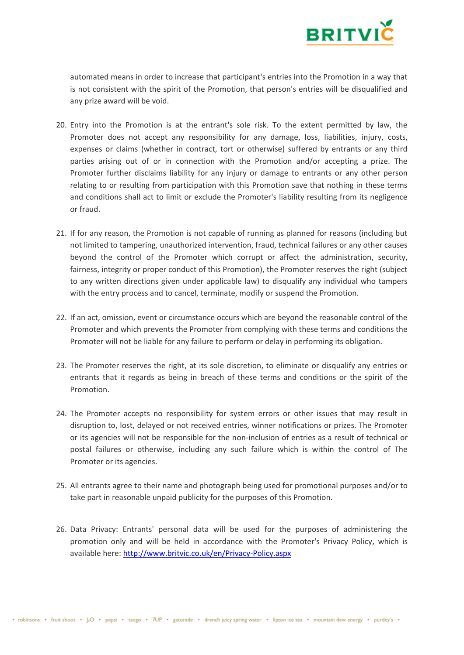

automated means in order to increase that participant's entries into the Promotion in a way that is not consistent with the spirit of the Promotion, that person's entries will be disqualified and any prize award will be void.

- 20. Entry into the Promotion is at the entrant's sole risk. To the extent permitted by law, the Promoter does not accept any responsibility for any damage, loss, liabilities, injury, costs, expenses or claims (whether in contract, tort or otherwise) suffered by entrants or any third parties arising out of or in connection with the Promotion and/or accepting a prize. The Promoter further disclaims liability for any injury or damage to entrants or any other person relating to or resulting from participation with this Promotion save that nothing in these terms and conditions shall act to limit or exclude the Promoter's liability resulting from its negligence or fraud.
- 21. If for any reason, the Promotion is not capable of running as planned for reasons (including but not limited to tampering, unauthorized intervention, fraud, technical failures or any other causes beyond the control of the Promoter which corrupt or affect the administration, security, fairness, integrity or proper conduct of this Promotion), the Promoter reserves the right (subject to any written directions given under applicable law) to disqualify any individual who tampers with the entry process and to cancel, terminate, modify or suspend the Promotion.
- 22. If an act, omission, event or circumstance occurs which are beyond the reasonable control of the Promoter and which prevents the Promoter from complying with these terms and conditions the Promoter will not be liable for any failure to perform or delay in performing its obligation.
- 23. The Promoter reserves the right, at its sole discretion, to eliminate or disqualify any entries or entrants that it regards as being in breach of these terms and conditions or the spirit of the Promotion.
- 24. The Promoter accepts no responsibility for system errors or other issues that may result in disruption to, lost, delayed or not received entries, winner notifications or prizes. The Promoter or its agencies will not be responsible for the non-inclusion of entries as a result of technical or postal failures or otherwise, including any such failure which is within the control of The Promoter or its agencies.
- 25. All entrants agree to their name and photograph being used for promotional purposes and/or to take part in reasonable unpaid publicity for the purposes of this Promotion.
- 26. Data Privacy: Entrants' personal data will be used for the purposes of administering the promotion only and will be held in accordance with the Promoter's Privacy Policy, which is available here:<http://www.britvic.co.uk/en/Privacy-Policy.aspx>